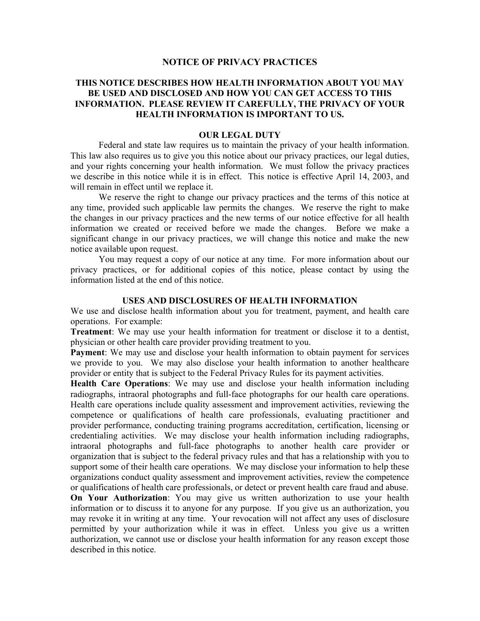### **NOTICE OF PRIVACY PRACTICES**

## **THIS NOTICE DESCRIBES HOW HEALTH INFORMATION ABOUT YOU MAY BE USED AND DISCLOSED AND HOW YOU CAN GET ACCESS TO THIS INFORMATION. PLEASE REVIEW IT CAREFULLY, THE PRIVACY OF YOUR HEALTH INFORMATION IS IMPORTANT TO US.**

#### **OUR LEGAL DUTY**

Federal and state law requires us to maintain the privacy of your health information. This law also requires us to give you this notice about our privacy practices, our legal duties, and your rights concerning your health information. We must follow the privacy practices we describe in this notice while it is in effect. This notice is effective April 14, 2003, and will remain in effect until we replace it.

We reserve the right to change our privacy practices and the terms of this notice at any time, provided such applicable law permits the changes. We reserve the right to make the changes in our privacy practices and the new terms of our notice effective for all health information we created or received before we made the changes. Before we make a significant change in our privacy practices, we will change this notice and make the new notice available upon request.

You may request a copy of our notice at any time. For more information about our privacy practices, or for additional copies of this notice, please contact by using the information listed at the end of this notice.

#### **USES AND DISCLOSURES OF HEALTH INFORMATION**

We use and disclose health information about you for treatment, payment, and health care operations. For example:

**Treatment**: We may use your health information for treatment or disclose it to a dentist, physician or other health care provider providing treatment to you.

**Payment**: We may use and disclose your health information to obtain payment for services we provide to you. We may also disclose your health information to another healthcare provider or entity that is subject to the Federal Privacy Rules for its payment activities.

**Health Care Operations**: We may use and disclose your health information including radiographs, intraoral photographs and full-face photographs for our health care operations. Health care operations include quality assessment and improvement activities, reviewing the competence or qualifications of health care professionals, evaluating practitioner and provider performance, conducting training programs accreditation, certification, licensing or credentialing activities. We may disclose your health information including radiographs, intraoral photographs and full-face photographs to another health care provider or organization that is subject to the federal privacy rules and that has a relationship with you to support some of their health care operations. We may disclose your information to help these organizations conduct quality assessment and improvement activities, review the competence or qualifications of health care professionals, or detect or prevent health care fraud and abuse.

**On Your Authorization**: You may give us written authorization to use your health information or to discuss it to anyone for any purpose. If you give us an authorization, you may revoke it in writing at any time. Your revocation will not affect any uses of disclosure permitted by your authorization while it was in effect. Unless you give us a written authorization, we cannot use or disclose your health information for any reason except those described in this notice.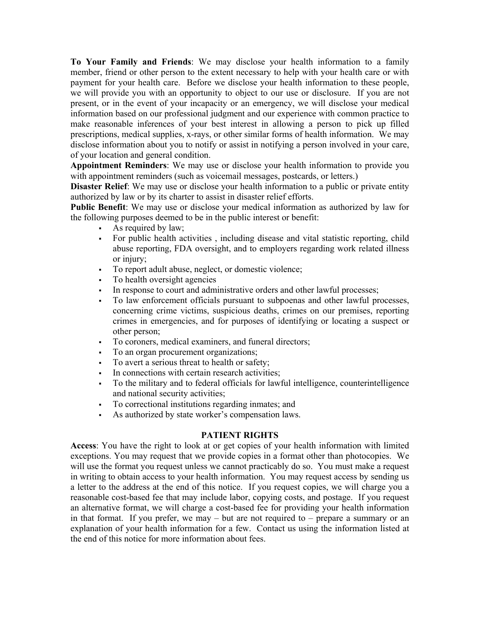**To Your Family and Friends**: We may disclose your health information to a family member, friend or other person to the extent necessary to help with your health care or with payment for your health care. Before we disclose your health information to these people, we will provide you with an opportunity to object to our use or disclosure. If you are not present, or in the event of your incapacity or an emergency, we will disclose your medical information based on our professional judgment and our experience with common practice to make reasonable inferences of your best interest in allowing a person to pick up filled prescriptions, medical supplies, x-rays, or other similar forms of health information. We may disclose information about you to notify or assist in notifying a person involved in your care, of your location and general condition.

**Appointment Reminders**: We may use or disclose your health information to provide you with appointment reminders (such as voicemail messages, postcards, or letters.)

**Disaster Relief**: We may use or disclose your health information to a public or private entity authorized by law or by its charter to assist in disaster relief efforts.

**Public Benefit**: We may use or disclose your medical information as authorized by law for the following purposes deemed to be in the public interest or benefit:

- As required by law;
- For public health activities , including disease and vital statistic reporting, child abuse reporting, FDA oversight, and to employers regarding work related illness or injury;
- To report adult abuse, neglect, or domestic violence;
- To health oversight agencies
- In response to court and administrative orders and other lawful processes;
- To law enforcement officials pursuant to subpoenas and other lawful processes, concerning crime victims, suspicious deaths, crimes on our premises, reporting crimes in emergencies, and for purposes of identifying or locating a suspect or other person;
- To coroners, medical examiners, and funeral directors;
- To an organ procurement organizations;
- To avert a serious threat to health or safety;
- In connections with certain research activities;
- To the military and to federal officials for lawful intelligence, counterintelligence and national security activities;
- To correctional institutions regarding inmates; and
- As authorized by state worker's compensation laws.

## **PATIENT RIGHTS**

**Access**: You have the right to look at or get copies of your health information with limited exceptions. You may request that we provide copies in a format other than photocopies. We will use the format you request unless we cannot practicably do so. You must make a request in writing to obtain access to your health information. You may request access by sending us a letter to the address at the end of this notice. If you request copies, we will charge you a reasonable cost-based fee that may include labor, copying costs, and postage. If you request an alternative format, we will charge a cost-based fee for providing your health information in that format. If you prefer, we may  $-$  but are not required to  $-$  prepare a summary or an explanation of your health information for a few. Contact us using the information listed at the end of this notice for more information about fees.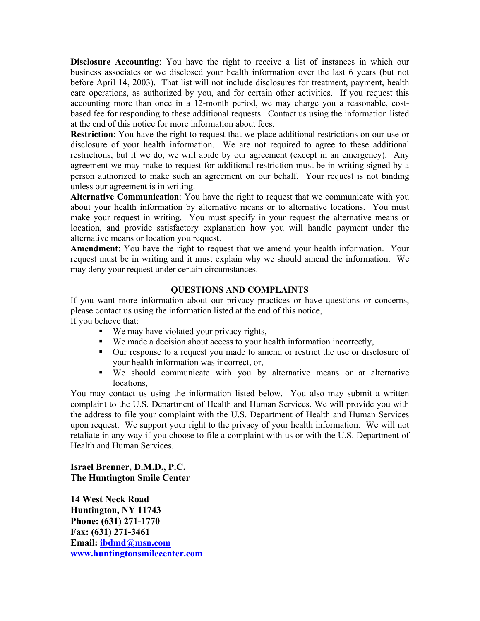**Disclosure Accounting**: You have the right to receive a list of instances in which our business associates or we disclosed your health information over the last 6 years (but not before April 14, 2003). That list will not include disclosures for treatment, payment, health care operations, as authorized by you, and for certain other activities. If you request this accounting more than once in a 12-month period, we may charge you a reasonable, costbased fee for responding to these additional requests. Contact us using the information listed at the end of this notice for more information about fees.

**Restriction**: You have the right to request that we place additional restrictions on our use or disclosure of your health information. We are not required to agree to these additional restrictions, but if we do, we will abide by our agreement (except in an emergency). Any agreement we may make to request for additional restriction must be in writing signed by a person authorized to make such an agreement on our behalf. Your request is not binding unless our agreement is in writing.

**Alternative Communication**: You have the right to request that we communicate with you about your health information by alternative means or to alternative locations. You must make your request in writing. You must specify in your request the alternative means or location, and provide satisfactory explanation how you will handle payment under the alternative means or location you request.

**Amendment**: You have the right to request that we amend your health information. Your request must be in writing and it must explain why we should amend the information. We may deny your request under certain circumstances.

## **QUESTIONS AND COMPLAINTS**

If you want more information about our privacy practices or have questions or concerns, please contact us using the information listed at the end of this notice, If you believe that:

- We may have violated your privacy rights,
- We made a decision about access to your health information incorrectly,
- Our response to a request you made to amend or restrict the use or disclosure of your health information was incorrect, or,
- We should communicate with you by alternative means or at alternative locations,

You may contact us using the information listed below. You also may submit a written complaint to the U.S. Department of Health and Human Services. We will provide you with the address to file your complaint with the U.S. Department of Health and Human Services upon request. We support your right to the privacy of your health information. We will not retaliate in any way if you choose to file a complaint with us or with the U.S. Department of Health and Human Services.

**Israel Brenner, D.M.D., P.C. The Huntington Smile Center**

**14 West Neck Road Huntington, NY 11743 Phone: (631) 271-1770 Fax: (631) 271-3461 Email: [ibdmd@msn.com](mailto:ibdmd@msn.com) [www.huntingtonsmilecenter.com](http://www.huntingtonsmilecenter.com/)**